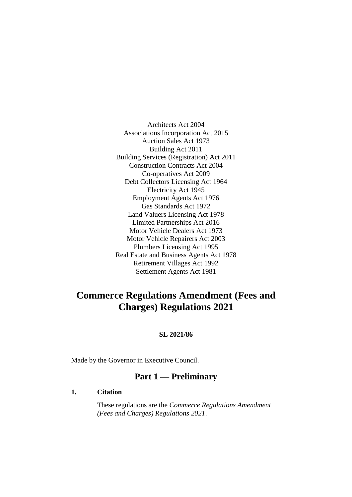Architects Act 2004 Associations Incorporation Act 2015 Auction Sales Act 1973 Building Act 2011 Building Services (Registration) Act 2011 Construction Contracts Act 2004 Co-operatives Act 2009 Debt Collectors Licensing Act 1964 Electricity Act 1945 Employment Agents Act 1976 Gas Standards Act 1972 Land Valuers Licensing Act 1978 Limited Partnerships Act 2016 Motor Vehicle Dealers Act 1973 Motor Vehicle Repairers Act 2003 Plumbers Licensing Act 1995 Real Estate and Business Agents Act 1978 Retirement Villages Act 1992 Settlement Agents Act 1981

## **Commerce Regulations Amendment (Fees and Charges) Regulations 2021**

#### **SL 2021/86**

Made by the Governor in Executive Council.

## **Part 1 — Preliminary**

#### **1. Citation**

These regulations are the *Commerce Regulations Amendment (Fees and Charges) Regulations 2021*.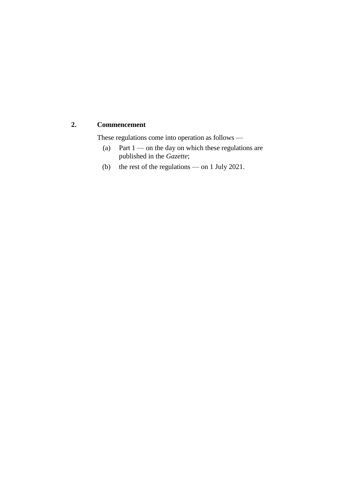#### **2. Commencement**

These regulations come into operation as follows —

- (a) Part  $1$  on the day on which these regulations are published in the *Gazette*;
- (b) the rest of the regulations on 1 July 2021.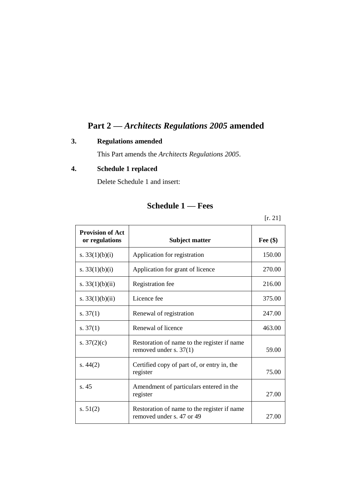## **Part 2 —** *Architects Regulations 2005* **amended**

### **3. Regulations amended**

This Part amends the *Architects Regulations 2005*.

## **4. Schedule 1 replaced**

Delete Schedule 1 and insert:

## **Schedule 1 — Fees**

[r. 21]

| <b>Provision of Act</b><br>or regulations | <b>Subject matter</b>                                                    | Fee $(\$)$ |
|-------------------------------------------|--------------------------------------------------------------------------|------------|
| s. $33(1)(b)(i)$                          | Application for registration                                             | 150.00     |
| s. $33(1)(b)(i)$                          | Application for grant of licence                                         | 270.00     |
| s. $33(1)(b)(ii)$                         | Registration fee                                                         | 216.00     |
| s. $33(1)(b)(ii)$                         | Licence fee                                                              | 375.00     |
| s. $37(1)$                                | Renewal of registration                                                  | 247.00     |
| s. $37(1)$                                | Renewal of licence                                                       | 463.00     |
| s. $37(2)(c)$                             | Restoration of name to the register if name<br>removed under s. $37(1)$  | 59.00      |
| s. $44(2)$                                | Certified copy of part of, or entry in, the<br>register                  | 75.00      |
| s.45                                      | Amendment of particulars entered in the<br>register                      | 27.00      |
| s. $51(2)$                                | Restoration of name to the register if name<br>removed under s. 47 or 49 | 27.00      |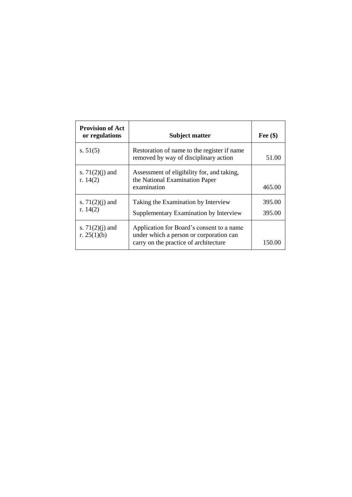| <b>Provision of Act</b><br>or regulations | <b>Subject matter</b>                                                                                                         | Fee $(\$)$       |
|-------------------------------------------|-------------------------------------------------------------------------------------------------------------------------------|------------------|
| s. $51(5)$                                | Restoration of name to the register if name<br>removed by way of disciplinary action                                          | 51.00            |
| s. $71(2)(j)$ and<br>r. $14(2)$           | Assessment of eligibility for, and taking,<br>the National Examination Paper<br>examination                                   | 465.00           |
| s. $71(2)(j)$ and<br>r. $14(2)$           | Taking the Examination by Interview<br>Supplementary Examination by Interview                                                 | 395.00<br>395.00 |
| s. $71(2)(j)$ and<br>r. $25(1)(b)$        | Application for Board's consent to a name<br>under which a person or corporation can<br>carry on the practice of architecture | 150.00           |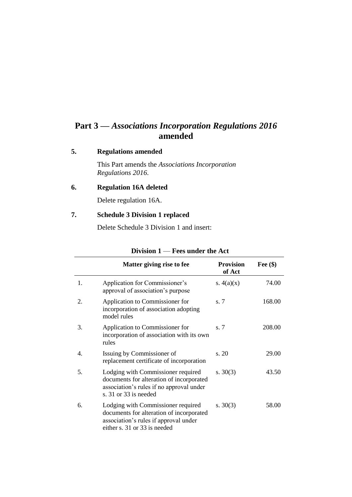## **Part 3 —** *Associations Incorporation Regulations 2016* **amended**

#### **5. Regulations amended**

This Part amends the *Associations Incorporation Regulations 2016*.

### **6. Regulation 16A deleted**

Delete regulation 16A.

### **7. Schedule 3 Division 1 replaced**

Delete Schedule 3 Division 1 and insert:

|                  | Matter giving rise to fee                                                                                                                               | <b>Provision</b><br>of Act | Fee $(\$)$ |
|------------------|---------------------------------------------------------------------------------------------------------------------------------------------------------|----------------------------|------------|
| 1.               | Application for Commissioner's<br>approval of association's purpose                                                                                     | s. $4(a)(x)$               | 74.00      |
| 2.               | Application to Commissioner for<br>incorporation of association adopting<br>model rules                                                                 | s.7                        | 168.00     |
| 3.               | Application to Commissioner for<br>incorporation of association with its own<br>rules                                                                   | s. 7                       | 208.00     |
| $\overline{4}$ . | Issuing by Commissioner of<br>replacement certificate of incorporation                                                                                  | s. 20                      | 29.00      |
| 5.               | Lodging with Commissioner required<br>documents for alteration of incorporated<br>association's rules if no approval under<br>s. 31 or 33 is needed     | s. $30(3)$                 | 43.50      |
| 6.               | Lodging with Commissioner required<br>documents for alteration of incorporated<br>association's rules if approval under<br>either s. 31 or 33 is needed | s. $30(3)$                 | 58.00      |

#### **Division 1** — **Fees under the Act**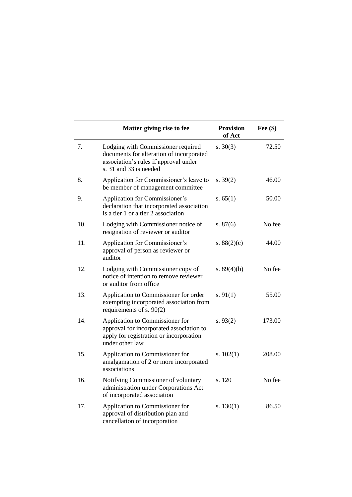|     | Matter giving rise to fee                                                                                                                         | <b>Provision</b><br>of Act | Fee $(\$)$ |
|-----|---------------------------------------------------------------------------------------------------------------------------------------------------|----------------------------|------------|
| 7.  | Lodging with Commissioner required<br>documents for alteration of incorporated<br>association's rules if approval under<br>s. 31 and 33 is needed | s. $30(3)$                 | 72.50      |
| 8.  | Application for Commissioner's leave to<br>be member of management committee                                                                      | s. $39(2)$                 | 46.00      |
| 9.  | Application for Commissioner's<br>declaration that incorporated association<br>is a tier 1 or a tier 2 association                                | s. $65(1)$                 | 50.00      |
| 10. | Lodging with Commissioner notice of<br>resignation of reviewer or auditor                                                                         | s. $87(6)$                 | No fee     |
| 11. | Application for Commissioner's<br>approval of person as reviewer or<br>auditor                                                                    | s. $88(2)(c)$              | 44.00      |
| 12. | Lodging with Commissioner copy of<br>notice of intention to remove reviewer<br>or auditor from office                                             | s. $89(4)(b)$              | No fee     |
| 13. | Application to Commissioner for order<br>exempting incorporated association from<br>requirements of s. $90(2)$                                    | s. $91(1)$                 | 55.00      |
| 14. | Application to Commissioner for<br>approval for incorporated association to<br>apply for registration or incorporation<br>under other law         | s. $93(2)$                 | 173.00     |
| 15. | Application to Commissioner for<br>amalgamation of 2 or more incorporated<br>associations                                                         | s. $102(1)$                | 208.00     |
| 16. | Notifying Commissioner of voluntary<br>administration under Corporations Act<br>of incorporated association                                       | s. 120                     | No fee     |
| 17. | Application to Commissioner for<br>approval of distribution plan and<br>cancellation of incorporation                                             | s. $130(1)$                | 86.50      |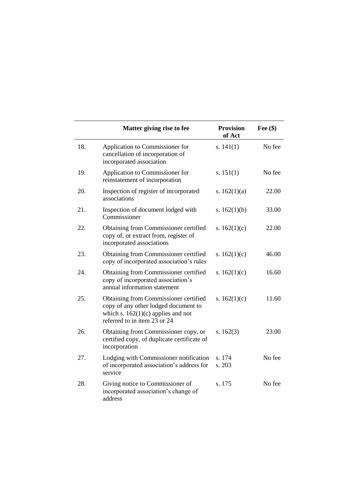|     | Matter giving rise to fee                                                                                                                             | <b>Provision</b><br>of Act | Fee $(\$)$ |
|-----|-------------------------------------------------------------------------------------------------------------------------------------------------------|----------------------------|------------|
| 18. | Application to Commissioner for<br>cancellation of incorporation of<br>incorporated association                                                       | s. $141(1)$                | No fee     |
| 19. | Application to Commissioner for<br>reinstatement of incorporation                                                                                     | s. $151(1)$                | No fee     |
| 20. | Inspection of register of incorporated<br>associations                                                                                                | s. $162(1)(a)$             | 22.00      |
| 21. | Inspection of document lodged with<br>Commissioner                                                                                                    | s. $162(1)(b)$             | 33.00      |
| 22. | Obtaining from Commissioner certified<br>copy of, or extract from, register of<br>incorporated associations                                           | s. $162(1)(c)$             | 22.00      |
| 23. | Obtaining from Commissioner certified<br>copy of incorporated association's rules                                                                     | s. $162(1)(c)$             | 46.00      |
| 24. | Obtaining from Commissioner certified<br>copy of incorporated association's<br>annual information statement                                           | s. $162(1)(c)$             | 16.60      |
| 25. | Obtaining from Commissioner certified<br>copy of any other lodged document to<br>which s. $162(1)(c)$ applies and not<br>referred to in item 23 or 24 | s. $162(1)(c)$             | 11.60      |
| 26. | Obtaining from Commissioner copy, or<br>certified copy, of duplicate certificate of<br>incorporation                                                  | s. $162(3)$                | 23.00      |
| 27. | Lodging with Commissioner notification<br>of incorporated association's address for<br>service                                                        | s. 174<br>s. 203           | No fee     |
| 28. | Giving notice to Commissioner of<br>incorporated association's change of<br>address                                                                   | s. 175                     | No fee     |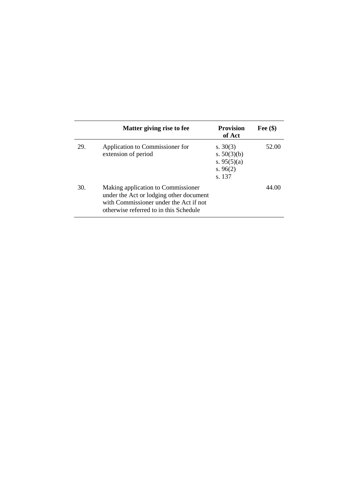|     | Matter giving rise to fee                                                                                                                                         | <b>Provision</b><br>of Act                                           | Fee $(\$)$ |
|-----|-------------------------------------------------------------------------------------------------------------------------------------------------------------------|----------------------------------------------------------------------|------------|
| 29. | Application to Commissioner for<br>extension of period                                                                                                            | s. $30(3)$<br>s. $50(3)(b)$<br>s. $95(5)(a)$<br>s. $96(2)$<br>s. 137 | 52.00      |
| 30. | Making application to Commissioner<br>under the Act or lodging other document<br>with Commissioner under the Act if not<br>otherwise referred to in this Schedule |                                                                      | 44.00      |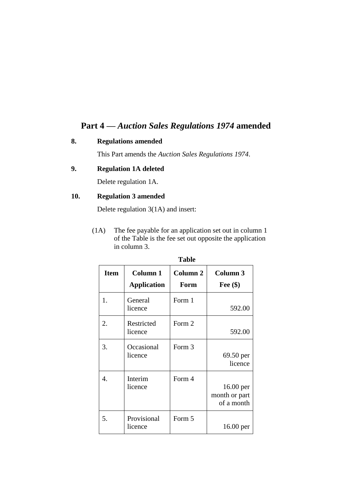## **Part 4 —** *Auction Sales Regulations 1974* **amended**

#### **8. Regulations amended**

This Part amends the *Auction Sales Regulations 1974*.

#### **9. Regulation 1A deleted**

Delete regulation 1A.

#### **10. Regulation 3 amended**

Delete regulation 3(1A) and insert:

(1A) The fee payable for an application set out in column 1 of the Table is the fee set out opposite the application in column 3.

|             | ravit                          |                  |                                            |
|-------------|--------------------------------|------------------|--------------------------------------------|
| <b>Item</b> | Column 1<br><b>Application</b> | Column 2<br>Form | Column 3<br>Fee $(\$)$                     |
| 1.          | General<br>licence             | Form 1           | 592.00                                     |
| 2.          | Restricted<br>licence          | Form 2           | 592.00                                     |
| 3.          | Occasional<br>licence          | Form 3           | 69.50 per<br>licence                       |
| $\mathbf 4$ | Interim<br>licence             | Form 4           | $16.00$ per<br>month or part<br>of a month |
| 5.          | Provisional<br>licence         | Form 5           | $16.00$ per                                |

**Table**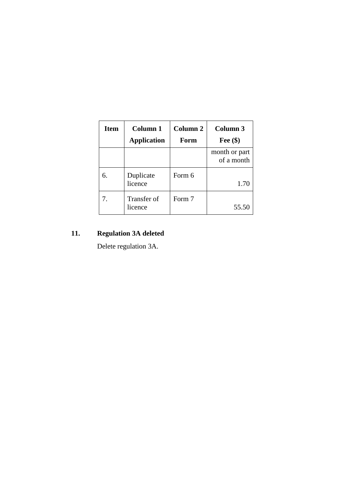| <b>Item</b> | Column 1<br><b>Application</b> | Column 2<br>Form | Column 3<br>Fee $(\$)$      |
|-------------|--------------------------------|------------------|-----------------------------|
|             |                                |                  | month or part<br>of a month |
|             | Duplicate<br>licence           | Form 6           | 1.70                        |
| 7.          | Transfer of<br>licence         | Form 7           | 55.50                       |

## **11. Regulation 3A deleted**

Delete regulation 3A.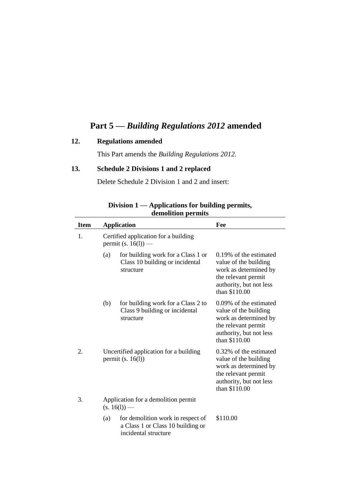## **Part 5 —** *Building Regulations 2012* **amended**

### **12. Regulations amended**

This Part amends the *Building Regulations 2012*.

### **13. Schedule 2 Divisions 1 and 2 replaced**

Delete Schedule 2 Division 1 and 2 and insert:

| ucmonuon permus |     |                                                                                                |                                                                                                                                             |
|-----------------|-----|------------------------------------------------------------------------------------------------|---------------------------------------------------------------------------------------------------------------------------------------------|
| <b>Item</b>     |     | <b>Application</b>                                                                             | Fee                                                                                                                                         |
| 1.              |     | Certified application for a building<br>permit (s. $16(1)$ ) —                                 |                                                                                                                                             |
|                 | (a) | for building work for a Class 1 or<br>Class 10 building or incidental<br>structure             | 0.19% of the estimated<br>value of the building<br>work as determined by<br>the relevant permit<br>authority, but not less<br>than \$110.00 |
|                 | (b) | for building work for a Class 2 to<br>Class 9 building or incidental<br>structure              | 0.09% of the estimated<br>value of the building<br>work as determined by<br>the relevant permit<br>authority, but not less<br>than \$110.00 |
| 2.              |     | Uncertified application for a building<br>permit $(s. 16(l))$                                  | 0.32% of the estimated<br>value of the building<br>work as determined by<br>the relevant permit<br>authority, but not less<br>than \$110.00 |
| 3.              |     | Application for a demolition permit<br>$(s. 16(1))$ —                                          |                                                                                                                                             |
|                 | (a) | for demolition work in respect of<br>a Class 1 or Class 10 building or<br>incidental structure | \$110.00                                                                                                                                    |

**Division 1 — Applications for building permits, demolition permits**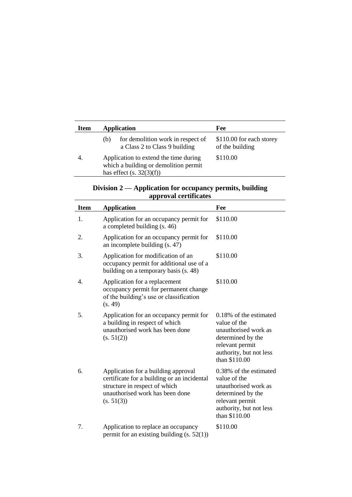| Item | <b>Application</b>                                                                                           | Fee                                         |
|------|--------------------------------------------------------------------------------------------------------------|---------------------------------------------|
|      | for demolition work in respect of<br>(b)<br>a Class 2 to Class 9 building                                    | \$110.00 for each storey<br>of the building |
| 4.   | Application to extend the time during<br>which a building or demolition permit<br>has effect $(s. 32(3)(f))$ | \$110.00                                    |

| Division $2$ — Application for occupancy permits, building |  |
|------------------------------------------------------------|--|
| approval certificates                                      |  |

| <b>Item</b> | <b>Application</b>                                                                                                                                                   | Fee                                                                                                                                                |
|-------------|----------------------------------------------------------------------------------------------------------------------------------------------------------------------|----------------------------------------------------------------------------------------------------------------------------------------------------|
| 1.          | Application for an occupancy permit for<br>a completed building (s. 46)                                                                                              | \$110.00                                                                                                                                           |
| 2.          | Application for an occupancy permit for<br>an incomplete building (s. 47)                                                                                            | \$110.00                                                                                                                                           |
| 3.          | Application for modification of an<br>occupancy permit for additional use of a<br>building on a temporary basis (s. 48)                                              | \$110.00                                                                                                                                           |
| 4.          | Application for a replacement<br>occupancy permit for permanent change<br>of the building's use or classification<br>(s. 49)                                         | \$110.00                                                                                                                                           |
| 5.          | Application for an occupancy permit for<br>a building in respect of which<br>unauthorised work has been done<br>(s. 51(2))                                           | 0.18% of the estimated<br>value of the<br>unauthorised work as<br>determined by the<br>relevant permit<br>authority, but not less<br>than \$110.00 |
| 6.          | Application for a building approval<br>certificate for a building or an incidental<br>structure in respect of which<br>unauthorised work has been done<br>(s. 51(3)) | 0.38% of the estimated<br>value of the<br>unauthorised work as<br>determined by the<br>relevant permit<br>authority, but not less<br>than \$110.00 |
| 7.          | Application to replace an occupancy<br>permit for an existing building $(s. 52(1))$                                                                                  | \$110.00                                                                                                                                           |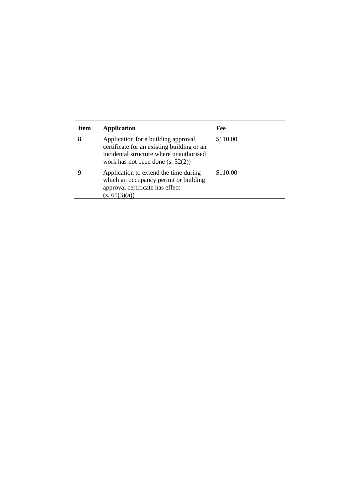| <b>Item</b> | Application                                                                                                                                                         | Fee      |
|-------------|---------------------------------------------------------------------------------------------------------------------------------------------------------------------|----------|
| 8.          | Application for a building approval<br>certificate for an existing building or an<br>incidental structure where unauthorised<br>work has not been done $(s, 52(2))$ | \$110.00 |
| 9.          | Application to extend the time during<br>which an occupancy permit or building<br>approval certificate has effect<br>(s. 65(3)(a))                                  | \$110.00 |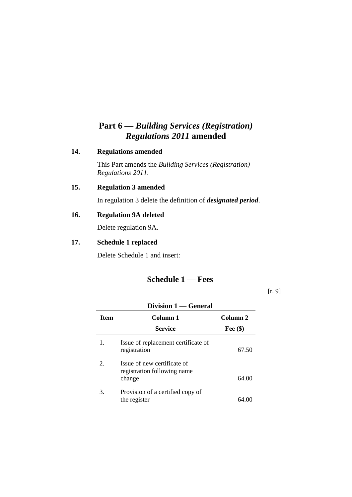## **Part 6 —** *Building Services (Registration) Regulations 2011* **amended**

#### **14. Regulations amended**

This Part amends the *Building Services (Registration) Regulations 2011*.

### **15. Regulation 3 amended**

In regulation 3 delete the definition of *designated period*.

### **16. Regulation 9A deleted**

Delete regulation 9A.

#### **17. Schedule 1 replaced**

Delete Schedule 1 and insert:

## **Schedule 1 — Fees**

[r. 9]

| Division 1 — General |                                                                      |            |
|----------------------|----------------------------------------------------------------------|------------|
| <b>Item</b>          | Column 1                                                             | Column 2   |
|                      | <b>Service</b>                                                       | Fee $(\$)$ |
| 1.                   | Issue of replacement certificate of<br>registration                  | 67.50      |
| 2.                   | Issue of new certificate of<br>registration following name<br>change | 64.00      |
| 3.                   | Provision of a certified copy of<br>the register                     | 64.U       |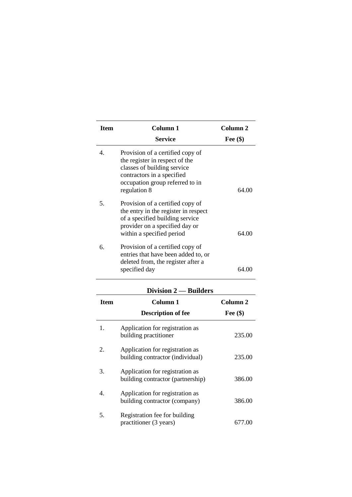| <b>Item</b>      | <b>Column 1</b>                                                                                                                                                                    | Column <sub>2</sub> |
|------------------|------------------------------------------------------------------------------------------------------------------------------------------------------------------------------------|---------------------|
|                  | Service                                                                                                                                                                            | Fee $(\$)$          |
| $\overline{4}$ . | Provision of a certified copy of<br>the register in respect of the<br>classes of building service<br>contractors in a specified<br>occupation group referred to in<br>regulation 8 | 64.00               |
| 5.               | Provision of a certified copy of<br>the entry in the register in respect<br>of a specified building service<br>provider on a specified day or<br>within a specified period         | 64.00               |
| 6.               | Provision of a certified copy of<br>entries that have been added to, or<br>deleted from, the register after a<br>specified day                                                     | 64.00               |
|                  | Division 2 — Builders                                                                                                                                                              |                     |
| <b>Item</b>      | Column 1                                                                                                                                                                           | Column <sub>2</sub> |
|                  | <b>Description of fee</b>                                                                                                                                                          | Fee $(\$)$          |
| 1.               | Application for registration as<br>building practitioner                                                                                                                           | 235.00              |
| 2.               | Application for registration as<br>building contractor (individual)                                                                                                                | 235.00              |
| 3.               | Application for registration as<br>building contractor (partnership)                                                                                                               | 386.00              |
| 4.               | Application for registration as<br>building contractor (company)                                                                                                                   | 386.00              |
| 5.               | Registration fee for building<br>practitioner (3 years)                                                                                                                            | 677.00              |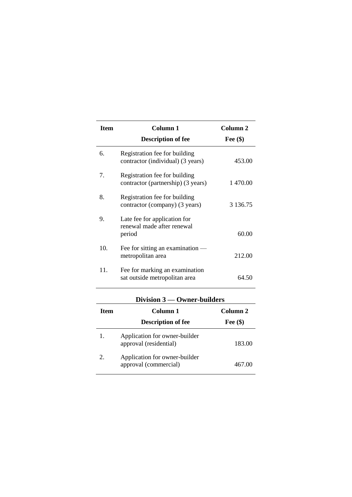| <b>Item</b> | Column <sub>1</sub>                                                  | Column 2      |
|-------------|----------------------------------------------------------------------|---------------|
|             | <b>Description of fee</b>                                            | Fee $(\$)$    |
| б.          | Registration fee for building<br>contractor (individual) (3 years)   | 453.00        |
| 7.          | Registration fee for building<br>contractor (partnership) (3 years)  | 1 470.00      |
| 8.          | Registration fee for building<br>contractor (company) (3 years)      | 3 1 3 6 . 7 5 |
| 9.          | Late fee for application for<br>renewal made after renewal<br>period | 60.00         |
| 10.         | Fee for sitting an examination $-$<br>metropolitan area              | 212.00        |
| 11.         | Fee for marking an examination<br>sat outside metropolitan area      | 64.50         |

| <b>Item</b> | Column 1<br>Column 2                                    |            |
|-------------|---------------------------------------------------------|------------|
|             | <b>Description of fee</b>                               | Fee $(\$)$ |
|             | Application for owner-builder<br>approval (residential) | 183.00     |
| 2.          | Application for owner-builder<br>approval (commercial)  | 467.00     |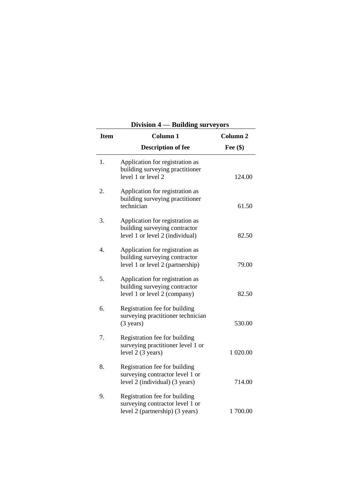| Division 4 — Building surveyors |                                                                                                      |            |
|---------------------------------|------------------------------------------------------------------------------------------------------|------------|
| <b>Item</b>                     | Column 1                                                                                             | Column 2   |
|                                 | <b>Description of fee</b>                                                                            | Fee $(\$)$ |
| 1.                              | Application for registration as<br>building surveying practitioner<br>level 1 or level 2             | 124.00     |
| 2.                              | Application for registration as<br>building surveying practitioner<br>technician                     | 61.50      |
| 3.                              | Application for registration as<br>building surveying contractor<br>level 1 or level 2 (individual)  | 82.50      |
| 4.                              | Application for registration as<br>building surveying contractor<br>level 1 or level 2 (partnership) | 79.00      |
| 5.                              | Application for registration as<br>building surveying contractor<br>level 1 or level 2 (company)     | 82.50      |
| 6.                              | Registration fee for building<br>surveying practitioner technician<br>$(3 \text{ years})$            | 530.00     |
| 7.                              | Registration fee for building<br>surveying practitioner level 1 or<br>level 2 (3 years)              | 1 020.00   |
| 8.                              | Registration fee for building<br>surveying contractor level 1 or<br>level 2 (individual) (3 years)   | 714.00     |
| 9.                              | Registration fee for building<br>surveying contractor level 1 or<br>level 2 (partnership) (3 years)  | 1700.00    |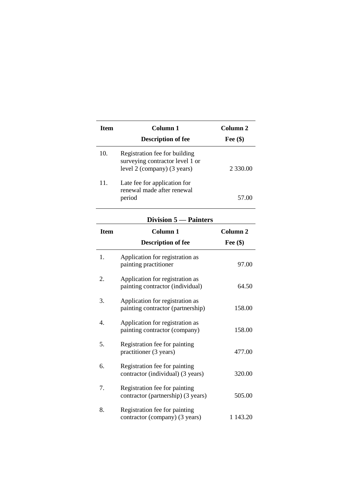| <b>Ifem</b> | Column 1                                                                                        | Column <sub>2</sub> |
|-------------|-------------------------------------------------------------------------------------------------|---------------------|
|             | <b>Description of fee</b>                                                                       | Fee $(\$)$          |
| 10.         | Registration fee for building<br>surveying contractor level 1 or<br>level 2 (company) (3 years) | 2 330.00            |
| 11.         | Late fee for application for<br>renewal made after renewal<br>period                            |                     |
|             |                                                                                                 |                     |

## **Division 5 — Painters**

|             | $Div$ is juint $3 - i$ and all $i$                                   |                                   |
|-------------|----------------------------------------------------------------------|-----------------------------------|
| <b>Item</b> | Column <sub>1</sub><br><b>Description of fee</b>                     | Column <sub>2</sub><br>Fee $(\$)$ |
|             |                                                                      |                                   |
| 1.          | Application for registration as<br>painting practitioner             | 97.00                             |
| 2.          | Application for registration as<br>painting contractor (individual)  | 64.50                             |
| 3.          | Application for registration as<br>painting contractor (partnership) | 158.00                            |
| 4.          | Application for registration as<br>painting contractor (company)     | 158.00                            |
| 5.          | Registration fee for painting<br>practitioner (3 years)              | 477.00                            |
| 6.          | Registration fee for painting<br>contractor (individual) (3 years)   | 320.00                            |
| 7.          | Registration fee for painting<br>contractor (partnership) (3 years)  | 505.00                            |
| 8.          | Registration fee for painting<br>contractor (company) (3 years)      | 1 143.20                          |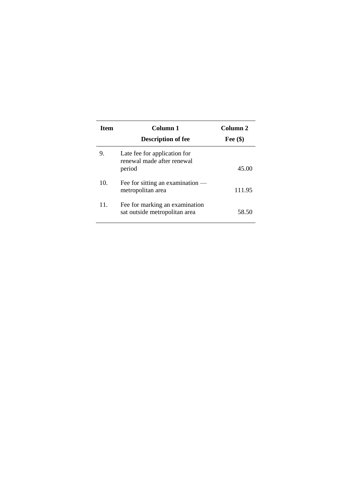| <b>Item</b> | Column 1<br><b>Description of fee</b>                                | Column <sub>2</sub><br>Fee $(\$)$ |
|-------------|----------------------------------------------------------------------|-----------------------------------|
| 9.          | Late fee for application for<br>renewal made after renewal<br>period | 45.00                             |
| 10.         | Fee for sitting an examination $-$<br>metropolitan area              | 111.95                            |
| 11.         | Fee for marking an examination<br>sat outside metropolitan area      | 58.50                             |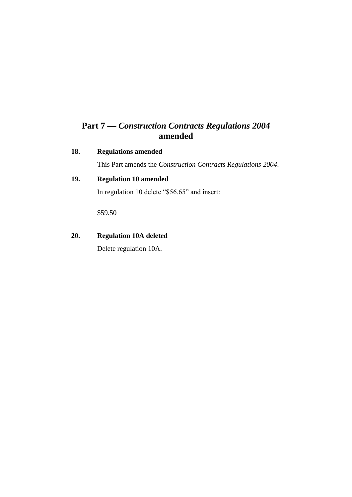## **Part 7 —** *Construction Contracts Regulations 2004* **amended**

#### **18. Regulations amended**

This Part amends the *Construction Contracts Regulations 2004*.

## **19. Regulation 10 amended**

In regulation 10 delete "\$56.65" and insert:

\$59.50

### **20. Regulation 10A deleted**

Delete regulation 10A.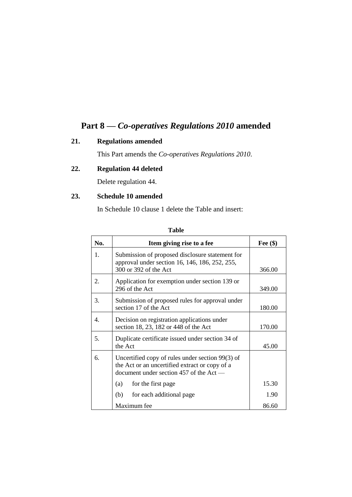## **Part 8 —** *Co-operatives Regulations 2010* **amended**

### **21. Regulations amended**

This Part amends the *Co-operatives Regulations 2010*.

## **22. Regulation 44 deleted**

Delete regulation 44.

### **23. Schedule 10 amended**

In Schedule 10 clause 1 delete the Table and insert:

| No. | Item giving rise to a fee                                                                                                                     | Fee $(\$)$ |
|-----|-----------------------------------------------------------------------------------------------------------------------------------------------|------------|
| 1.  | Submission of proposed disclosure statement for<br>approval under section 16, 146, 186, 252, 255,<br>300 or 392 of the Act                    | 366.00     |
| 2.  | Application for exemption under section 139 or<br>296 of the Act                                                                              | 349.00     |
| 3.  | Submission of proposed rules for approval under<br>section 17 of the Act                                                                      | 180.00     |
| 4.  | Decision on registration applications under<br>section 18, 23, 182 or 448 of the Act                                                          | 170.00     |
| 5.  | Duplicate certificate issued under section 34 of<br>the Act                                                                                   | 45.00      |
| 6.  | Uncertified copy of rules under section 99(3) of<br>the Act or an uncertified extract or copy of a<br>document under section 457 of the Act — |            |
|     | for the first page<br>(a)                                                                                                                     | 15.30      |
|     | for each additional page<br>(b)                                                                                                               | 1.90       |
|     | Maximum fee                                                                                                                                   | 86.60      |

| ۰.<br>×<br>M.<br>۰.<br>۰,<br>٠ |
|--------------------------------|
|--------------------------------|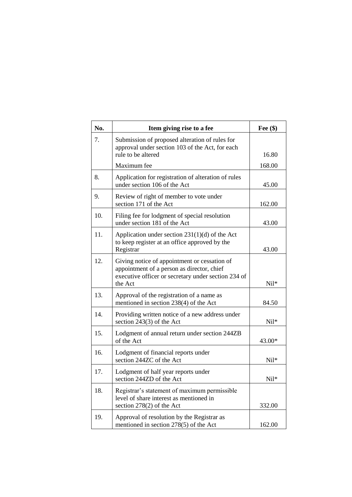| No. | Item giving rise to a fee                                                                                                                                    | Fee $(\$)$ |
|-----|--------------------------------------------------------------------------------------------------------------------------------------------------------------|------------|
| 7.  | Submission of proposed alteration of rules for<br>approval under section 103 of the Act, for each<br>rule to be altered                                      | 16.80      |
|     |                                                                                                                                                              |            |
|     | Maximum fee                                                                                                                                                  | 168.00     |
| 8.  | Application for registration of alteration of rules<br>under section 106 of the Act                                                                          | 45.00      |
| 9.  | Review of right of member to vote under<br>section 171 of the Act                                                                                            | 162.00     |
| 10. | Filing fee for lodgment of special resolution<br>under section 181 of the Act                                                                                | 43.00      |
| 11. | Application under section 231(1)(d) of the Act<br>to keep register at an office approved by the<br>Registrar                                                 | 43.00      |
| 12. | Giving notice of appointment or cessation of<br>appointment of a person as director, chief<br>executive officer or secretary under section 234 of<br>the Act | Nil*       |
| 13. | Approval of the registration of a name as<br>mentioned in section 238(4) of the Act                                                                          | 84.50      |
| 14. | Providing written notice of a new address under<br>section $243(3)$ of the Act                                                                               | Nil*       |
| 15. | Lodgment of annual return under section 244ZB<br>of the Act                                                                                                  | 43.00*     |
| 16. | Lodgment of financial reports under<br>section 244ZC of the Act                                                                                              | Nil*       |
| 17. | Lodgment of half year reports under<br>section 244ZD of the Act                                                                                              | Nil*       |
| 18. | Registrar's statement of maximum permissible<br>level of share interest as mentioned in<br>section $278(2)$ of the Act                                       | 332.00     |
| 19. | Approval of resolution by the Registrar as<br>mentioned in section 278(5) of the Act                                                                         | 162.00     |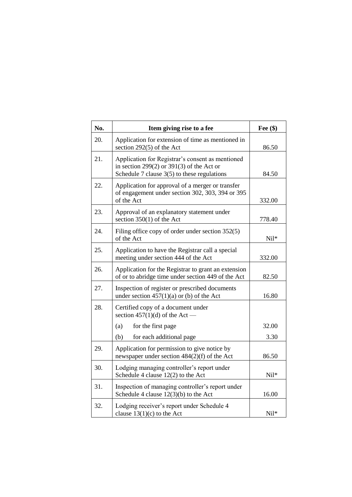| No. | Item giving rise to a fee                                                                                                                      | Fee $(\$)$ |
|-----|------------------------------------------------------------------------------------------------------------------------------------------------|------------|
| 20. | Application for extension of time as mentioned in<br>section $292(5)$ of the Act                                                               | 86.50      |
| 21. | Application for Registrar's consent as mentioned<br>in section 299(2) or 391(3) of the Act or<br>Schedule 7 clause $3(5)$ to these regulations | 84.50      |
| 22. | Application for approval of a merger or transfer<br>of engagement under section 302, 303, 394 or 395<br>of the Act                             | 332.00     |
| 23. | Approval of an explanatory statement under<br>section $350(1)$ of the Act                                                                      | 778.40     |
| 24. | Filing office copy of order under section $352(5)$<br>of the Act                                                                               | $Nil*$     |
| 25. | Application to have the Registrar call a special<br>meeting under section 444 of the Act                                                       | 332.00     |
| 26. | Application for the Registrar to grant an extension<br>of or to abridge time under section 449 of the Act                                      | 82.50      |
| 27. | Inspection of register or prescribed documents<br>under section $457(1)(a)$ or (b) of the Act                                                  | 16.80      |
| 28. | Certified copy of a document under<br>section $457(1)(d)$ of the Act —                                                                         |            |
|     | (a)<br>for the first page                                                                                                                      | 32.00      |
|     | (b)<br>for each additional page                                                                                                                | 3.30       |
| 29. | Application for permission to give notice by<br>newspaper under section $484(2)(f)$ of the Act                                                 | 86.50      |
| 30. | Lodging managing controller's report under<br>Schedule 4 clause $12(2)$ to the Act                                                             | $Nil*$     |
| 31. | Inspection of managing controller's report under<br>Schedule 4 clause 12(3)(b) to the Act                                                      | 16.00      |
| 32. | Lodging receiver's report under Schedule 4<br>clause $13(1)(c)$ to the Act                                                                     | Nil*       |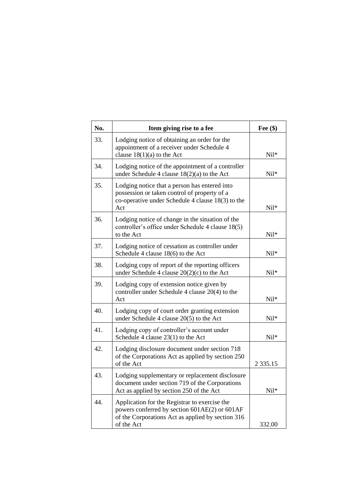| No. | Item giving rise to a fee                                                                                                                                         | Fee $(\$)$    |
|-----|-------------------------------------------------------------------------------------------------------------------------------------------------------------------|---------------|
| 33. | Lodging notice of obtaining an order for the<br>appointment of a receiver under Schedule 4<br>clause $18(1)(a)$ to the Act                                        | Nil*          |
| 34. | Lodging notice of the appointment of a controller<br>under Schedule 4 clause $18(2)(a)$ to the Act                                                                | $Nil*$        |
| 35. | Lodging notice that a person has entered into<br>possession or taken control of property of a<br>co-operative under Schedule 4 clause $18(3)$ to the<br>Act       | Nil*          |
| 36. | Lodging notice of change in the situation of the<br>controller's office under Schedule 4 clause 18(5)<br>to the Act                                               | $Nil*$        |
| 37. | Lodging notice of cessation as controller under<br>Schedule 4 clause 18(6) to the Act                                                                             | Nil*          |
| 38. | Lodging copy of report of the reporting officers<br>under Schedule 4 clause $20(2)(c)$ to the Act                                                                 | $Nil*$        |
| 39. | Lodging copy of extension notice given by<br>controller under Schedule 4 clause 20(4) to the<br>Act                                                               | Nil*          |
| 40. | Lodging copy of court order granting extension<br>under Schedule 4 clause 20(5) to the Act                                                                        | $Nil*$        |
| 41. | Lodging copy of controller's account under<br>Schedule 4 clause $23(1)$ to the Act                                                                                | $Nil*$        |
| 42. | Lodging disclosure document under section 718<br>of the Corporations Act as applied by section 250<br>of the Act                                                  | 2 3 3 5 . 1 5 |
| 43. | Lodging supplementary or replacement disclosure<br>document under section 719 of the Corporations<br>Act as applied by section 250 of the Act                     | Nil*          |
| 44. | Application for the Registrar to exercise the<br>powers conferred by section 601AE(2) or 601AF<br>of the Corporations Act as applied by section 316<br>of the Act | 332.00        |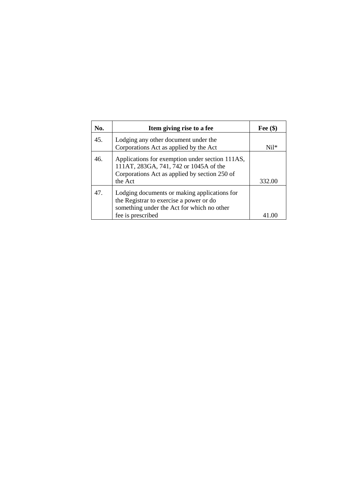| No. | Item giving rise to a fee                                                                                                                                  | Fee $(\$)$ |
|-----|------------------------------------------------------------------------------------------------------------------------------------------------------------|------------|
| 45. | Lodging any other document under the<br>Corporations Act as applied by the Act                                                                             | $Ni1*$     |
| 46. | Applications for exemption under section 111AS,<br>111AT, 283GA, 741, 742 or 1045A of the<br>Corporations Act as applied by section 250 of<br>the Act      | 332.00     |
| 47. | Lodging documents or making applications for<br>the Registrar to exercise a power or do<br>something under the Act for which no other<br>fee is prescribed |            |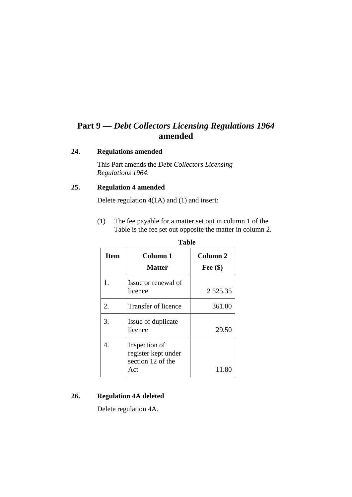## **Part 9 —** *Debt Collectors Licensing Regulations 1964* **amended**

#### **24. Regulations amended**

This Part amends the *Debt Collectors Licensing Regulations 1964*.

#### **25. Regulation 4 amended**

Delete regulation 4(1A) and (1) and insert:

(1) The fee payable for a matter set out in column 1 of the Table is the fee set out opposite the matter in column 2. **Table**

| <b>Item</b> | Column 1<br><b>Matter</b>                                        | Column <sub>2</sub><br>Fee $(\$)$ |
|-------------|------------------------------------------------------------------|-----------------------------------|
| 1.          | Issue or renewal of<br>licence                                   | 2 5 2 5 . 3 5                     |
| 2.          | Transfer of licence                                              | 361.00                            |
| 3.          | Issue of duplicate<br>licence                                    | 29.50                             |
|             | Inspection of<br>register kept under<br>section 12 of the<br>Act | 11.80                             |

# **26. Regulation 4A deleted**

Delete regulation 4A.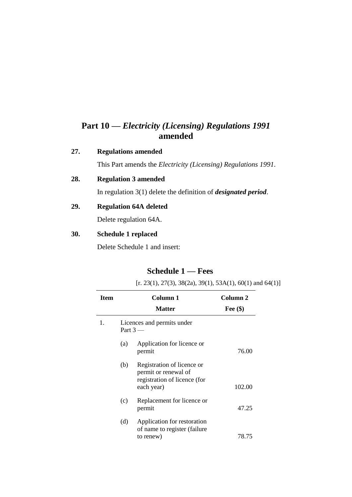## **Part 10 —** *Electricity (Licensing) Regulations 1991* **amended**

#### **27. Regulations amended**

This Part amends the *Electricity (Licensing) Regulations 1991*.

### **28. Regulation 3 amended**

In regulation 3(1) delete the definition of *designated period*.

### **29. Regulation 64A deleted**

Delete regulation 64A.

#### **30. Schedule 1 replaced**

Delete Schedule 1 and insert:

## **Schedule 1 — Fees**

 $[r. 23(1), 27(3), 38(2a), 39(1), 53A(1), 60(1)$  and  $64(1)]$ 

| Item |     | Column 1<br><b>Matter</b>                                                                        | Column 2<br>Fee $(\$)$ |
|------|-----|--------------------------------------------------------------------------------------------------|------------------------|
| 1.   |     | Licences and permits under<br>Part $3-$                                                          |                        |
|      | (a) | Application for licence or<br>permit                                                             | 76.00                  |
|      | (b) | Registration of licence or<br>permit or renewal of<br>registration of licence (for<br>each year) | 102.00                 |
|      | (c) | Replacement for licence or<br>permit                                                             | 47.25                  |
|      | (d) | Application for restoration<br>of name to register (failure<br>to renew)                         | 78.75                  |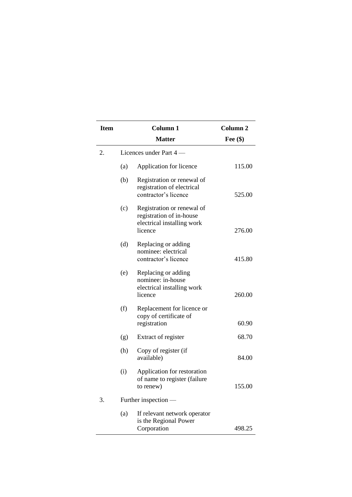|    | <b>Item</b> | <b>Column 1</b>                                                                                 | Column <sub>2</sub> |
|----|-------------|-------------------------------------------------------------------------------------------------|---------------------|
|    |             | <b>Matter</b>                                                                                   | Fee $(\$)$          |
| 2. |             | Licences under Part 4 -                                                                         |                     |
|    | (a)         | Application for licence                                                                         | 115.00              |
|    | (b)         | Registration or renewal of<br>registration of electrical<br>contractor's licence                | 525.00              |
|    | (c)         | Registration or renewal of<br>registration of in-house<br>electrical installing work<br>licence | 276.00              |
|    | (d)         | Replacing or adding<br>nominee: electrical<br>contractor's licence                              | 415.80              |
|    | (e)         | Replacing or adding<br>nominee: in-house<br>electrical installing work<br>licence               | 260.00              |
|    | (f)         | Replacement for licence or<br>copy of certificate of<br>registration                            | 60.90               |
|    | (g)         | Extract of register                                                                             | 68.70               |
|    | (h)         | Copy of register (if<br>available)                                                              | 84.00               |
|    | (i)         | Application for restoration<br>of name to register (failure<br>to renew)                        | 155.00              |
| 3. |             | Further inspection —                                                                            |                     |
|    | (a)         | If relevant network operator<br>is the Regional Power<br>Corporation                            | 498.25              |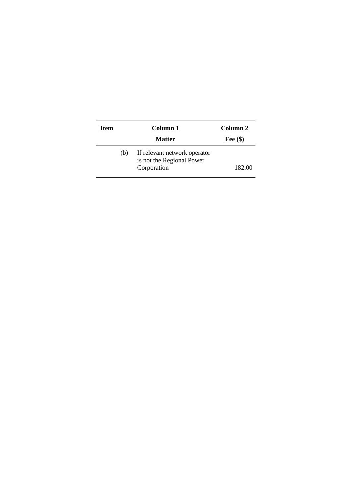| Item |     | Column 1                                                                 | Column 2   |
|------|-----|--------------------------------------------------------------------------|------------|
|      |     | <b>Matter</b>                                                            | Fee $(\$)$ |
|      | (b) | If relevant network operator<br>is not the Regional Power<br>Corporation | 182.00     |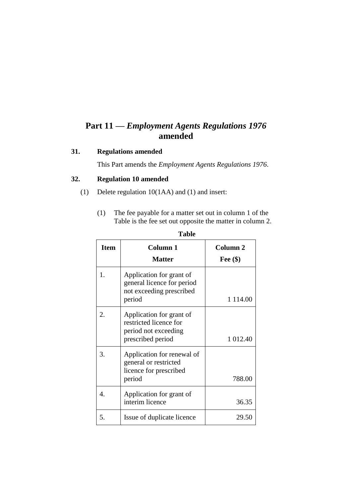## **Part 11 —** *Employment Agents Regulations 1976* **amended**

#### **31. Regulations amended**

This Part amends the *Employment Agents Regulations 1976*.

### **32. Regulation 10 amended**

- (1) Delete regulation 10(1AA) and (1) and insert:
	- (1) The fee payable for a matter set out in column 1 of the Table is the fee set out opposite the matter in column 2.

| <b>Item</b> | Column 1                                                                                        | Column 2    |
|-------------|-------------------------------------------------------------------------------------------------|-------------|
|             | <b>Matter</b>                                                                                   | Fee $(\$)$  |
| 1.          | Application for grant of<br>general licence for period<br>not exceeding prescribed<br>period    | 1 1 1 4 .00 |
| $2_{\cdot}$ | Application for grant of<br>restricted licence for<br>period not exceeding<br>prescribed period | 1 012.40    |
| 3.          | Application for renewal of<br>general or restricted<br>licence for prescribed<br>period         | 788.00      |
| 4.          | Application for grant of<br>interim licence                                                     | 36.35       |
| 5.          | Issue of duplicate licence                                                                      | 29.50       |

#### **Table**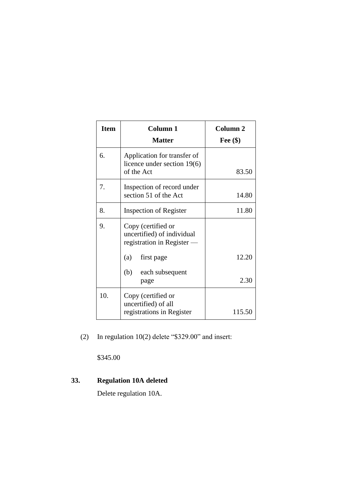| <b>Item</b> | <b>Column 1</b><br><b>Matter</b>                                               | Column <sub>2</sub><br>Fee $(\$)$ |
|-------------|--------------------------------------------------------------------------------|-----------------------------------|
| 6.          | Application for transfer of<br>licence under section 19(6)<br>of the Act       | 83.50                             |
| 7.          | Inspection of record under<br>section 51 of the Act                            | 14.80                             |
| 8.          | Inspection of Register                                                         | 11.80                             |
| 9.          | Copy (certified or<br>uncertified) of individual<br>registration in Register — |                                   |
|             | (a)<br>first page                                                              | 12.20                             |
|             | (b)<br>each subsequent<br>page                                                 | 2.30                              |
| 10.         | Copy (certified or<br>uncertified) of all<br>registrations in Register         | 115.50                            |

(2) In regulation 10(2) delete "\$329.00" and insert:

\$345.00

## **33. Regulation 10A deleted**

Delete regulation 10A.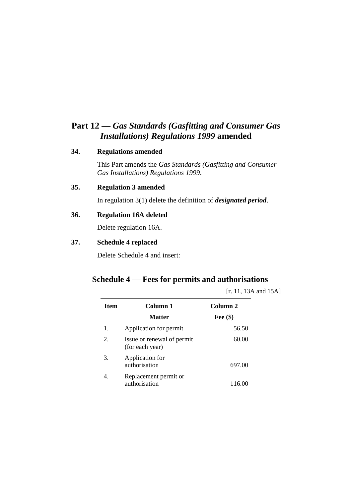## **Part 12 —** *Gas Standards (Gasfitting and Consumer Gas Installations) Regulations 1999* **amended**

#### **34. Regulations amended**

This Part amends the *Gas Standards (Gasfitting and Consumer Gas Installations) Regulations 1999*.

#### **35. Regulation 3 amended**

In regulation 3(1) delete the definition of *designated period*.

#### **36. Regulation 16A deleted**

Delete regulation 16A.

#### **37. Schedule 4 replaced**

Delete Schedule 4 and insert:

### **Schedule 4 — Fees for permits and authorisations**

[r. 11, 13A and 15A]

| <b>Item</b> | Column 1                                      | Column <sub>2</sub> |
|-------------|-----------------------------------------------|---------------------|
|             | <b>Matter</b>                                 | Fee $(\$)$          |
| 1.          | Application for permit                        | 56.50               |
| 2.          | Issue or renewal of permit<br>(for each year) | 60.00               |
| 3.          | Application for<br>authorisation              | 697.00              |
|             | Replacement permit or<br>authorisation        | 116.00              |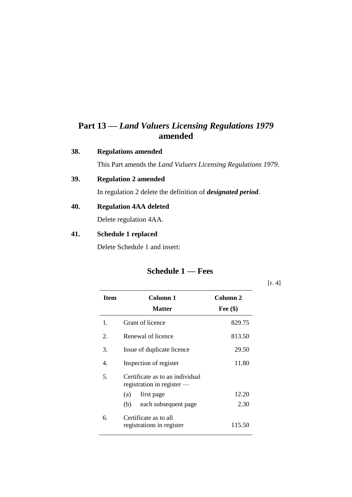## **Part 13 —** *Land Valuers Licensing Regulations 1979* **amended**

#### **38. Regulations amended**

This Part amends the *Land Valuers Licensing Regulations 1979*.

### **39. Regulation 2 amended**

In regulation 2 delete the definition of *designated period*.

### **40. Regulation 4AA deleted**

Delete regulation 4AA.

#### **41. Schedule 1 replaced**

Delete Schedule 1 and insert:

## **Schedule 1 — Fees**

[r. 4]

| <b>Item</b> | Column 1<br><b>Matter</b>                                     | Column 2<br>Fee $(\$)$ |
|-------------|---------------------------------------------------------------|------------------------|
|             |                                                               |                        |
| 1.          | Grant of licence                                              | 829.75                 |
| 2.          | Renewal of licence                                            | 813.50                 |
| 3.          | Issue of duplicate licence                                    | 29.50                  |
| 4.          | Inspection of register                                        | 11.80                  |
| 5.          | Certificate as to an individual<br>registration in register - |                        |
|             | (a)<br>first page                                             | 12.20                  |
|             | each subsequent page<br>(b)                                   | 2.30                   |
| б.          | Certificate as to all<br>registrations in register            | 115.50                 |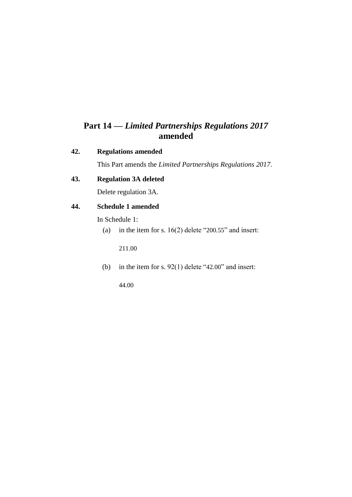## **Part 14 —** *Limited Partnerships Regulations 2017* **amended**

#### **42. Regulations amended**

This Part amends the *Limited Partnerships Regulations 2017*.

### **43. Regulation 3A deleted**

Delete regulation 3A.

### **44. Schedule 1 amended**

In Schedule 1:

(a) in the item for s.  $16(2)$  delete "200.55" and insert:

211.00

(b) in the item for s.  $92(1)$  delete "42.00" and insert:

44.00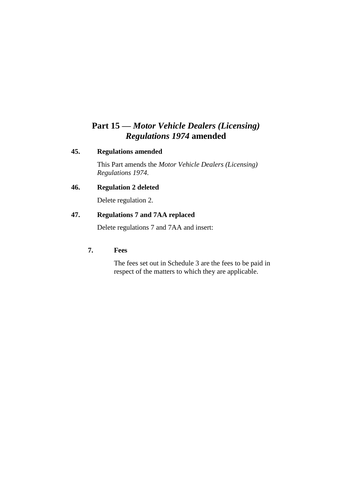## **Part 15 —** *Motor Vehicle Dealers (Licensing) Regulations 1974* **amended**

#### **45. Regulations amended**

This Part amends the *Motor Vehicle Dealers (Licensing) Regulations 1974*.

### **46. Regulation 2 deleted**

Delete regulation 2.

### **47. Regulations 7 and 7AA replaced**

Delete regulations 7 and 7AA and insert:

#### **7. Fees**

The fees set out in Schedule 3 are the fees to be paid in respect of the matters to which they are applicable.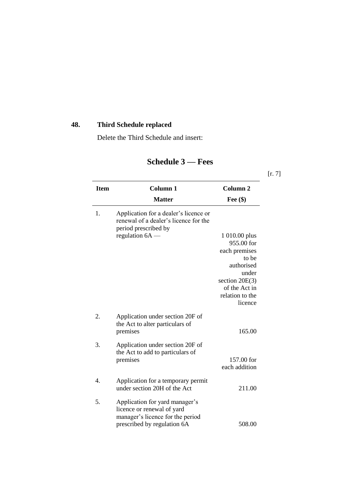## **48. Third Schedule replaced**

Delete the Third Schedule and insert:

| <b>Item</b> | <b>Column 1</b>                                                                                                                 | Column <sub>2</sub>         |
|-------------|---------------------------------------------------------------------------------------------------------------------------------|-----------------------------|
|             | <b>Matter</b>                                                                                                                   | Fee $(\$)$                  |
| 1.          | Application for a dealer's licence or<br>renewal of a dealer's licence for the<br>period prescribed by                          |                             |
|             | regulation $6A$ —                                                                                                               | 1 010.00 plus<br>955.00 for |
|             |                                                                                                                                 | each premises<br>to be      |
|             |                                                                                                                                 | authorised<br>under         |
|             |                                                                                                                                 | section $20E(3)$            |
|             |                                                                                                                                 | of the Act in               |
|             |                                                                                                                                 | relation to the<br>licence  |
| 2.          | Application under section 20F of<br>the Act to alter particulars of<br>premises                                                 | 165.00                      |
| 3.          | Application under section 20F of<br>the Act to add to particulars of                                                            |                             |
|             | premises                                                                                                                        | 157.00 for<br>each addition |
| 4.          | Application for a temporary permit<br>under section 20H of the Act                                                              | 211.00                      |
| 5.          | Application for yard manager's<br>licence or renewal of yard<br>manager's licence for the period<br>prescribed by regulation 6A | 508.00                      |

## **Schedule 3 — Fees**

[r. 7]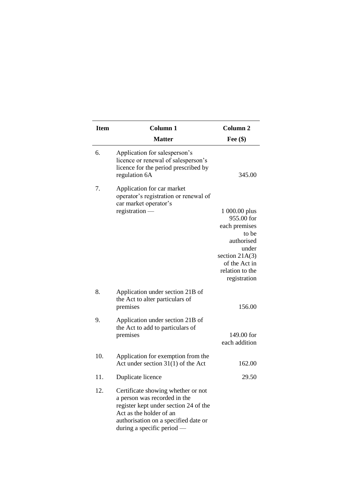| <b>Item</b> | <b>Column 1</b>                                                                                                                                                                                                | Column <sub>2</sub>                                                                                                                                  |
|-------------|----------------------------------------------------------------------------------------------------------------------------------------------------------------------------------------------------------------|------------------------------------------------------------------------------------------------------------------------------------------------------|
|             | <b>Matter</b>                                                                                                                                                                                                  | Fee $(\$)$                                                                                                                                           |
| 6.          | Application for salesperson's<br>licence or renewal of salesperson's<br>licence for the period prescribed by<br>regulation 6A                                                                                  | 345.00                                                                                                                                               |
| 7.          | Application for car market<br>operator's registration or renewal of<br>car market operator's                                                                                                                   |                                                                                                                                                      |
|             | registration -                                                                                                                                                                                                 | 1 000.00 plus<br>955.00 for<br>each premises<br>to be<br>authorised<br>under<br>section $21A(3)$<br>of the Act in<br>relation to the<br>registration |
| 8.          | Application under section 21B of<br>the Act to alter particulars of<br>premises                                                                                                                                | 156.00                                                                                                                                               |
| 9.          | Application under section 21B of<br>the Act to add to particulars of<br>premises                                                                                                                               | 149.00 for<br>each addition                                                                                                                          |
| 10.         | Application for exemption from the<br>Act under section $31(1)$ of the Act                                                                                                                                     | 162.00                                                                                                                                               |
| 11.         | Duplicate licence                                                                                                                                                                                              | 29.50                                                                                                                                                |
| 12.         | Certificate showing whether or not<br>a person was recorded in the<br>register kept under section 24 of the<br>Act as the holder of an<br>authorisation on a specified date or<br>during a specific period $-$ |                                                                                                                                                      |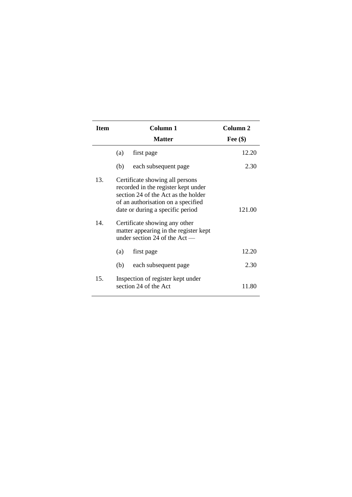| <b>Item</b> | Column 1                                                                                                                                                                                                                                                                                             | Column 2   |
|-------------|------------------------------------------------------------------------------------------------------------------------------------------------------------------------------------------------------------------------------------------------------------------------------------------------------|------------|
|             | <b>Matter</b>                                                                                                                                                                                                                                                                                        | Fee $(\$)$ |
|             | (a)<br>first page                                                                                                                                                                                                                                                                                    | 12.20      |
|             | (b)<br>each subsequent page                                                                                                                                                                                                                                                                          | 2.30       |
| 13.<br>14.  | Certificate showing all persons<br>recorded in the register kept under<br>section 24 of the Act as the holder<br>of an authorisation on a specified<br>date or during a specific period<br>Certificate showing any other<br>matter appearing in the register kept<br>under section 24 of the $Act$ — | 121.00     |
|             | (a)<br>first page                                                                                                                                                                                                                                                                                    | 12.20      |
|             | (b)<br>each subsequent page                                                                                                                                                                                                                                                                          | 2.30       |
| 15.         | Inspection of register kept under<br>section 24 of the Act                                                                                                                                                                                                                                           | 11.80      |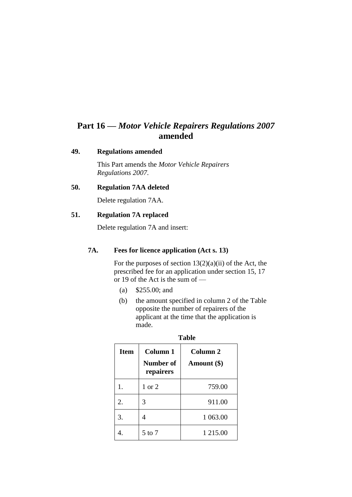## **Part 16 —** *Motor Vehicle Repairers Regulations 2007* **amended**

#### **49. Regulations amended**

This Part amends the *Motor Vehicle Repairers Regulations 2007*.

#### **50. Regulation 7AA deleted**

Delete regulation 7AA.

#### **51. Regulation 7A replaced**

Delete regulation 7A and insert:

#### **7A. Fees for licence application (Act s. 13)**

For the purposes of section  $13(2)(a)(ii)$  of the Act, the prescribed fee for an application under section 15, 17 or 19 of the Act is the sum of —

- (a) \$255.00; and
- (b) the amount specified in column 2 of the Table opposite the number of repairers of the applicant at the time that the application is made.

| raviv       |                                    |                                    |  |
|-------------|------------------------------------|------------------------------------|--|
| <b>Item</b> | Column 1<br>Number of<br>repairers | Column <sub>2</sub><br>Amount (\$) |  |
| 1.          | 1 or $2$                           | 759.00                             |  |
| 2.          | 3                                  | 911.00                             |  |
| 3.          |                                    | 1 063.00                           |  |
|             | $5$ to $7$                         | 1 215.00                           |  |

| ×<br>۰.<br>۰.<br>۰. | v |
|---------------------|---|
|                     |   |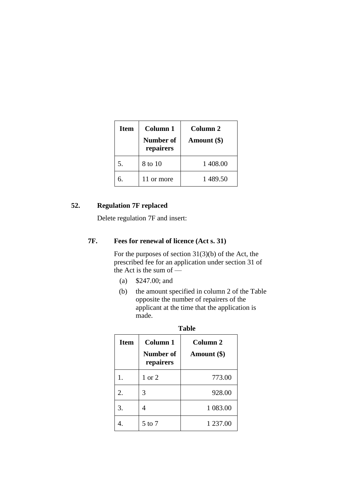| <b>Item</b> | Column 1<br>Number of<br>repairers | Column 2<br>Amount (\$) |
|-------------|------------------------------------|-------------------------|
| 5.          | 8 to 10                            | 1 408.00                |
| б.          | 11 or more                         | 1489.50                 |

### **52. Regulation 7F replaced**

Delete regulation 7F and insert:

### **7F. Fees for renewal of licence (Act s. 31)**

For the purposes of section 31(3)(b) of the Act, the prescribed fee for an application under section 31 of the Act is the sum of  $\frac{1}{2}$ 

- (a) \$247.00; and
- (b) the amount specified in column 2 of the Table opposite the number of repairers of the applicant at the time that the application is made.

**Table**

| <b>Item</b> | <b>Column 1</b><br>Number of<br>repairers | Column <sub>2</sub><br>Amount (\$) |  |
|-------------|-------------------------------------------|------------------------------------|--|
| 1.          | $1 \text{ or } 2$                         | 773.00                             |  |
| 2.          | 3                                         | 928.00                             |  |
| 3.          | 4                                         | 1 083.00                           |  |
|             | $5$ to $7$                                | 1 237.00                           |  |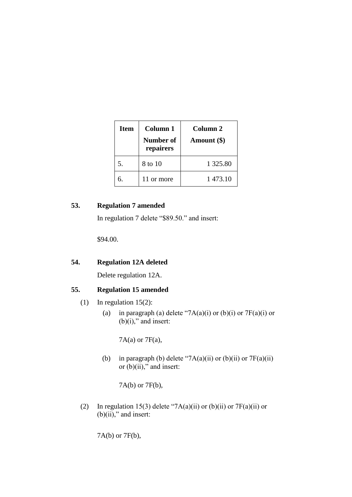| <b>Item</b> | Column 1<br>Number of<br>repairers | Column 2<br>Amount $(\$)$ |
|-------------|------------------------------------|---------------------------|
| 5.          | 8 to 10                            | 1 3 2 5 .80               |
| б.          | 11 or more                         | 1 473.10                  |

### **53. Regulation 7 amended**

In regulation 7 delete "\$89.50." and insert:

\$94.00.

### **54. Regulation 12A deleted**

Delete regulation 12A.

### **55. Regulation 15 amended**

- (1) In regulation 15(2):
	- (a) in paragraph (a) delete "7A(a)(i) or (b)(i) or 7F(a)(i) or  $(b)(i)$ ," and insert:

7A(a) or 7F(a),

(b) in paragraph (b) delete "7A(a)(ii) or (b)(ii) or  $7F(a)(ii)$ or  $(b)(ii)$ ," and insert:

7A(b) or 7F(b),

(2) In regulation 15(3) delete "7A(a)(ii) or (b)(ii) or  $7F(a)(ii)$  or  $(b)(ii)$ ," and insert:

7A(b) or 7F(b),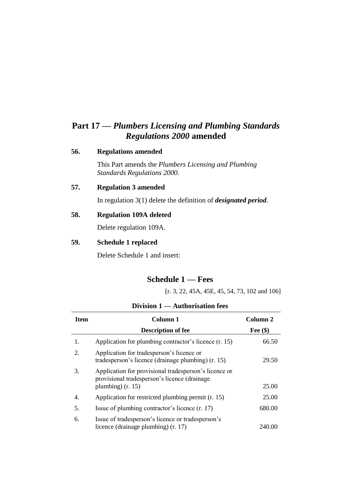## **Part 17 —** *Plumbers Licensing and Plumbing Standards Regulations 2000* **amended**

#### **56. Regulations amended**

This Part amends the *Plumbers Licensing and Plumbing Standards Regulations 2000*.

#### **57. Regulation 3 amended**

In regulation 3(1) delete the definition of *designated period*.

#### **58. Regulation 109A deleted**

Delete regulation 109A.

#### **59. Schedule 1 replaced**

Delete Schedule 1 and insert:

### **Schedule 1 — Fees**

[r. 3, 22, 45A, 45E, 45, 54, 73, 102 and 106]

#### **Division 1 — Authorisation fees**

| Item | Column 1                                                                                                                     | Column 2   |
|------|------------------------------------------------------------------------------------------------------------------------------|------------|
|      | <b>Description of fee</b>                                                                                                    | Fee $(\$)$ |
| 1.   | Application for plumbing contractor's licence (r. 15)                                                                        | 66.50      |
| 2.   | Application for tradesperson's licence or<br>tradesperson's licence (drainage plumbing) (r. 15)                              | 29.50      |
| 3.   | Application for provisional tradesperson's licence or<br>provisional tradesperson's licence (drainage<br>plumbing) $(r. 15)$ | 25.00      |
| 4.   | Application for restricted plumbing permit (r. 15)                                                                           | 25.00      |
| 5.   | Issue of plumbing contractor's licence (r. 17)                                                                               | 680.00     |
| 6.   | Issue of tradesperson's licence or tradesperson's<br>licence (drainage plumbing) (r. 17)                                     | 240.00     |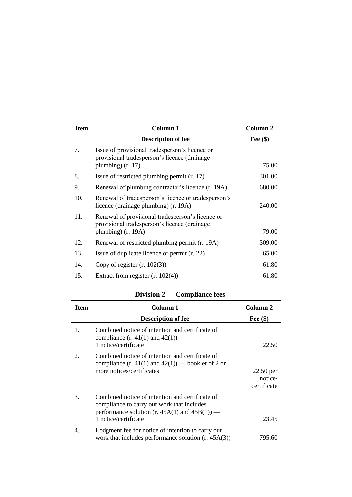| <b>Item</b> | Column 1                                                                                                                 | Column 2   |
|-------------|--------------------------------------------------------------------------------------------------------------------------|------------|
|             | <b>Description of fee</b>                                                                                                | Fee $(\$)$ |
| 7.          | Issue of provisional tradesperson's licence or<br>provisional tradesperson's licence (drainage<br>plumbing) $(r. 17)$    | 75.00      |
| 8.          | Issue of restricted plumbing permit (r. 17)                                                                              | 301.00     |
| 9.          | Renewal of plumbing contractor's licence (r. 19A)                                                                        | 680.00     |
| 10.         | Renewal of tradesperson's licence or tradesperson's<br>licence (drainage plumbing) (r. 19A)                              | 240.00     |
| 11.         | Renewal of provisional tradesperson's licence or<br>provisional tradesperson's licence (drainage<br>plumbing) $(r. 19A)$ | 79.00      |
| 12.         | Renewal of restricted plumbing permit (r. 19A)                                                                           | 309.00     |
| 13.         | Issue of duplicate licence or permit (r. 22)                                                                             | 65.00      |
| 14.         | Copy of register $(r. 102(3))$                                                                                           | 61.80      |
| 15.         | Extract from register $(r. 102(4))$                                                                                      | 61.80      |

### **Division 2 — Compliance fees**

| <b>Item</b> | Column 1                                                                                                                                                                    | Column 2                              |  |
|-------------|-----------------------------------------------------------------------------------------------------------------------------------------------------------------------------|---------------------------------------|--|
|             | <b>Description of fee</b>                                                                                                                                                   | Fee $(\$)$                            |  |
| 1.          | Combined notice of intention and certificate of<br>compliance $(r. 41(1)$ and $42(1))$ —<br>1 notice/certificate                                                            | 22.50                                 |  |
| 2.          | Combined notice of intention and certificate of<br>compliance $(r. 41(1)$ and $42(1))$ — booklet of 2 or<br>more notices/certificates                                       | $22.50$ per<br>notice/<br>certificate |  |
| 3.          | Combined notice of intention and certificate of<br>compliance to carry out work that includes<br>performance solution (r. $45A(1)$ and $45B(1)$ ) —<br>1 notice/certificate | 23.45                                 |  |
| 4.          | Lodgment fee for notice of intention to carry out<br>work that includes performance solution $(r. 45A(3))$                                                                  | 795.60                                |  |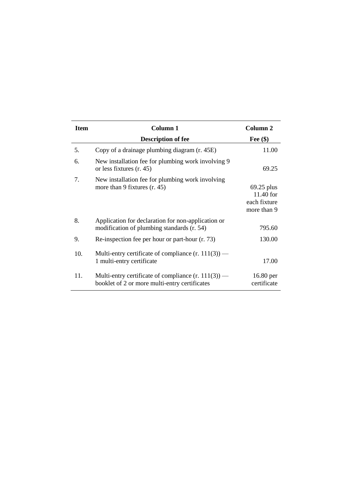| <b>Item</b> | Column 1                                                                                               | Column <sub>2</sub>                                        |
|-------------|--------------------------------------------------------------------------------------------------------|------------------------------------------------------------|
|             | <b>Description of fee</b>                                                                              | Fee $(\$)$                                                 |
| 5.          | Copy of a drainage plumbing diagram (r. 45E)                                                           | 11.00                                                      |
| 6.          | New installation fee for plumbing work involving 9<br>or less fixtures (r. 45)                         | 69.25                                                      |
| 7.          | New installation fee for plumbing work involving<br>more than 9 fixtures $(r. 45)$                     | $69.25$ plus<br>$11.40$ for<br>each fixture<br>more than 9 |
| 8.          | Application for declaration for non-application or<br>modification of plumbing standards (r. 54)       | 795.60                                                     |
| 9.          | Re-inspection fee per hour or part-hour (r. 73)                                                        | 130.00                                                     |
| 10.         | Multi-entry certificate of compliance $(r. 111(3))$ —<br>1 multi-entry certificate                     | 17.00                                                      |
| 11.         | Multi-entry certificate of compliance $(r. 111(3))$ —<br>booklet of 2 or more multi-entry certificates | 16.80 per<br>certificate                                   |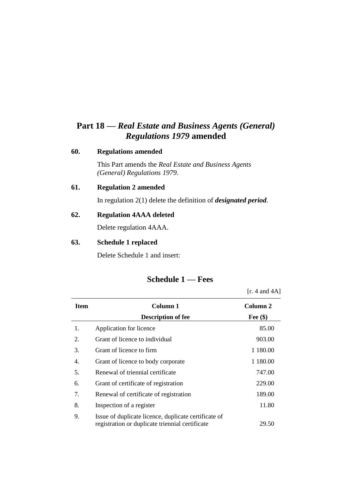## **Part 18 —** *Real Estate and Business Agents (General) Regulations 1979* **amended**

#### **60. Regulations amended**

This Part amends the *Real Estate and Business Agents (General) Regulations 1979*.

#### **61. Regulation 2 amended**

In regulation 2(1) delete the definition of *designated period*.

#### **62. Regulation 4AAA deleted**

Delete regulation 4AAA.

#### **63. Schedule 1 replaced**

Delete Schedule 1 and insert:

## **Schedule 1 — Fees**

|             |                                                                                                         | [r. 4 and $4A$ ] |
|-------------|---------------------------------------------------------------------------------------------------------|------------------|
| <b>Item</b> | Column 1                                                                                                | Column 2         |
|             | <b>Description of fee</b>                                                                               | Fee $(\$)$       |
| 1.          | Application for licence                                                                                 | 85.00            |
| 2.          | Grant of licence to individual                                                                          | 903.00           |
| 3.          | Grant of licence to firm                                                                                | 1 180.00         |
| 4.          | Grant of licence to body corporate                                                                      | 1 180.00         |
| 5.          | Renewal of triennial certificate                                                                        | 747.00           |
| 6.          | Grant of certificate of registration                                                                    | 229.00           |
| 7.          | Renewal of certificate of registration                                                                  | 189.00           |
| 8.          | Inspection of a register                                                                                | 11.80            |
| 9.          | Issue of duplicate licence, duplicate certificate of<br>registration or duplicate triennial certificate | 29.50            |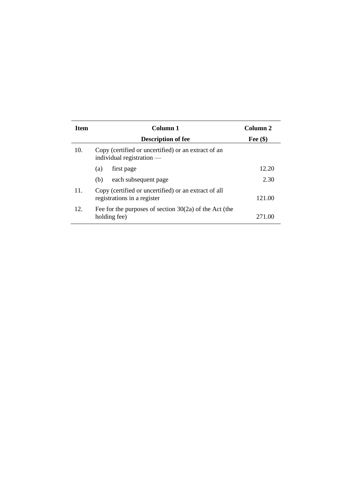| <b>Item</b> | Column 1                                                                            | Column <sub>2</sub> |
|-------------|-------------------------------------------------------------------------------------|---------------------|
|             | <b>Description of fee</b>                                                           | Fee $(\$)$          |
| 10.         | Copy (certified or uncertified) or an extract of an<br>individual registration $-$  |                     |
|             | first page<br>(a)                                                                   | 12.20               |
|             | each subsequent page<br>(b)                                                         | 2.30                |
| 11.         | Copy (certified or uncertified) or an extract of all<br>registrations in a register | 121.00              |
| 12.         | Fee for the purposes of section $30(2a)$ of the Act (the<br>holding fee)            | 271 OC              |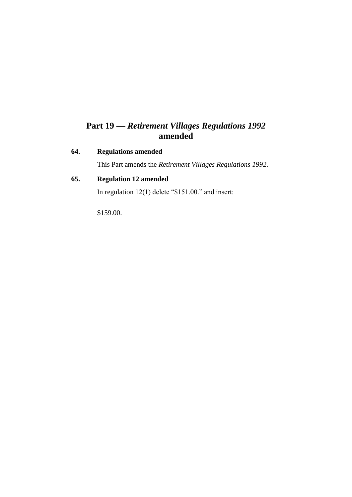## **Part 19 —** *Retirement Villages Regulations 1992* **amended**

### **64. Regulations amended**

This Part amends the *Retirement Villages Regulations 1992*.

### **65. Regulation 12 amended**

In regulation 12(1) delete "\$151.00." and insert:

\$159.00.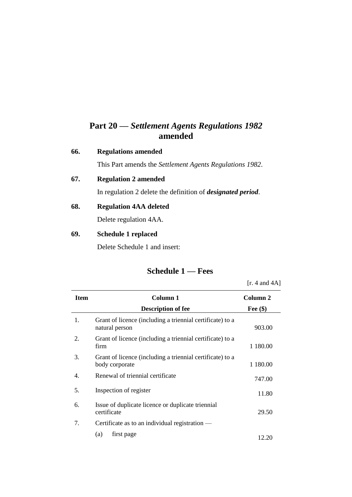## **Part 20 —** *Settlement Agents Regulations 1982* **amended**

#### **66. Regulations amended**

This Part amends the *Settlement Agents Regulations 1982*.

#### **67. Regulation 2 amended**

In regulation 2 delete the definition of *designated period*.

#### **68. Regulation 4AA deleted**

Delete regulation 4AA.

#### **69. Schedule 1 replaced**

Delete Schedule 1 and insert:

### **Schedule 1 — Fees**

[r. 4 and 4A] **Item Column 1 Description of fee Column 2 Fee (\$)** 1. Grant of licence (including a triennial certificate) to a natural person 903.00 2. Grant of licence (including a triennial certificate) to a firm 1 180.00 3. Grant of licence (including a triennial certificate) to a body corporate 1 180.00 4. Renewal of triennial certificate 747.00 5. Inspection of register 11.80 6. Issue of duplicate licence or duplicate triennial certificate 29.50 7. Certificate as to an individual registration — (a) first page  $12.20$